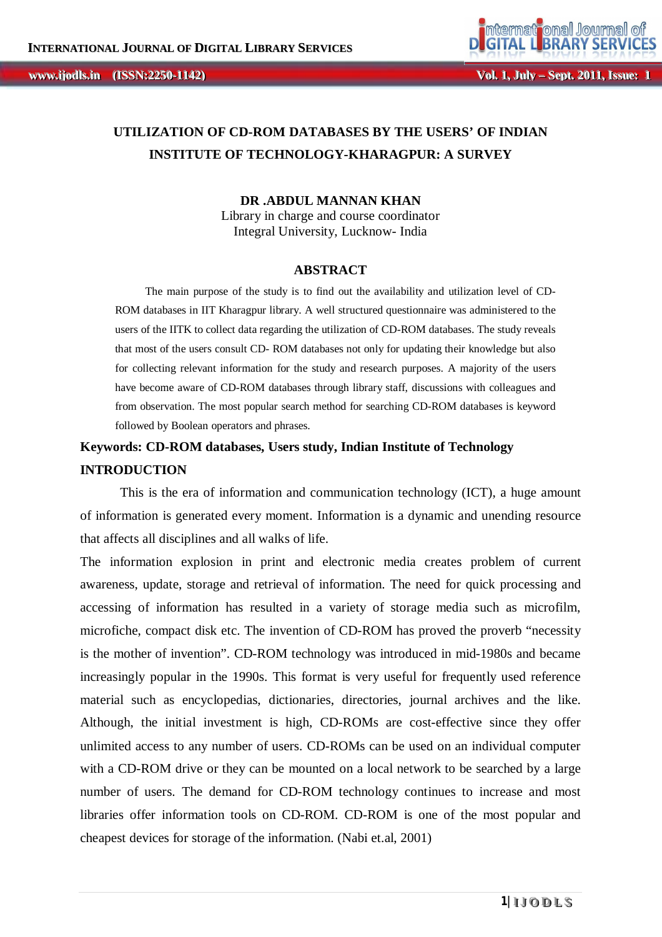# **UTILIZATION OF CD-ROM DATABASES BY THE USERS' OF INDIAN INSTITUTE OF TECHNOLOGY-KHARAGPUR: A SURVEY**

### **DR .ABDUL MANNAN KHAN**

Library in charge and course coordinator Integral University, Lucknow- India

#### **ABSTRACT**

The main purpose of the study is to find out the availability and utilization level of CD-ROM databases in IIT Kharagpur library. A well structured questionnaire was administered to the users of the IITK to collect data regarding the utilization of CD-ROM databases. The study reveals that most of the users consult CD- ROM databases not only for updating their knowledge but also for collecting relevant information for the study and research purposes. A majority of the users have become aware of CD-ROM databases through library staff, discussions with colleagues and from observation. The most popular search method for searching CD-ROM databases is keyword followed by Boolean operators and phrases.

# **Keywords: CD-ROM databases, Users study, Indian Institute of Technology INTRODUCTION**

This is the era of information and communication technology (ICT), a huge amount of information is generated every moment. Information is a dynamic and unending resource that affects all disciplines and all walks of life.

The information explosion in print and electronic media creates problem of current awareness, update, storage and retrieval of information. The need for quick processing and accessing of information has resulted in a variety of storage media such as microfilm, microfiche, compact disk etc. The invention of CD-ROM has proved the proverb "necessity is the mother of invention". CD-ROM technology was introduced in mid-1980s and became increasingly popular in the 1990s. This format is very useful for frequently used reference material such as encyclopedias, dictionaries, directories, journal archives and the like. Although, the initial investment is high, CD-ROMs are cost-effective since they offer unlimited access to any number of users. CD-ROMs can be used on an individual computer with a CD-ROM drive or they can be mounted on a local network to be searched by a large number of users. The demand for CD-ROM technology continues to increase and most libraries offer information tools on CD-ROM. CD-ROM is one of the most popular and cheapest devices for storage of the information. (Nabi et.al, 2001)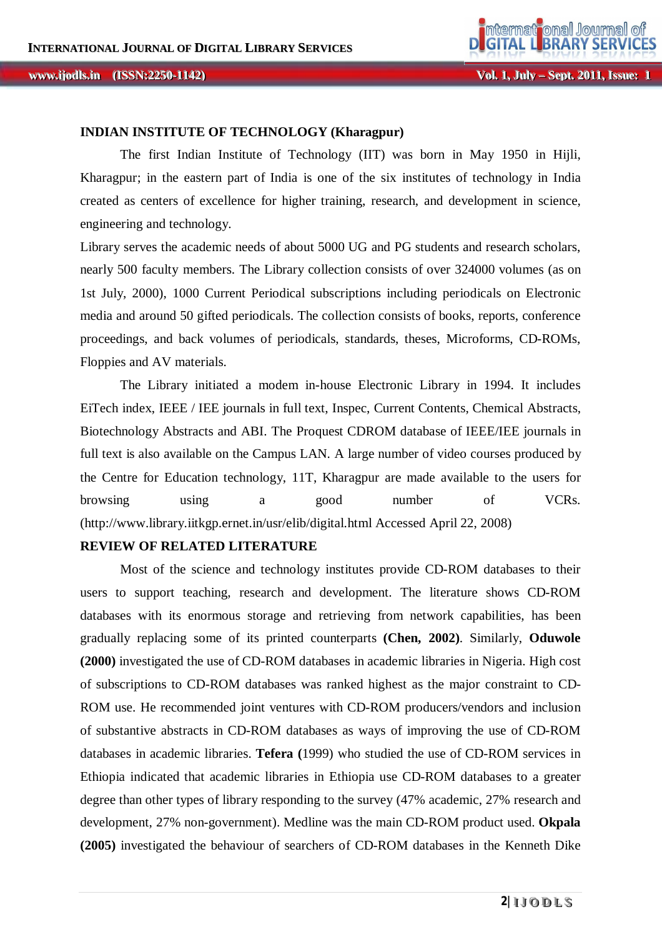### **INDIAN INSTITUTE OF TECHNOLOGY (Kharagpur)**

The first Indian Institute of Technology (IIT) was born in May 1950 in Hijli, Kharagpur; in the eastern part of India is one of the six institutes of technology in India created as centers of excellence for higher training, research, and development in science, engineering and technology.

Library serves the academic needs of about 5000 UG and PG students and research scholars, nearly 500 faculty members. The Library collection consists of over 324000 volumes (as on 1st July, 2000), 1000 Current Periodical subscriptions including periodicals on Electronic media and around 50 gifted periodicals. The collection consists of books, reports, conference proceedings, and back volumes of periodicals, standards, theses, Microforms, CD-ROMs, Floppies and AV materials.

The Library initiated a modem in-house Electronic Library in 1994. It includes EiTech index, IEEE / IEE journals in full text, Inspec, Current Contents, Chemical Abstracts, Biotechnology Abstracts and ABI. The Proquest CDROM database of IEEE/IEE journals in full text is also available on the Campus LAN. A large number of video courses produced by the Centre for Education technology, 11T, Kharagpur are made available to the users for browsing using a good number of VCRs. (http://www.library.iitkgp.ernet.in/usr/elib/digital.html Accessed April 22, 2008)

## **REVIEW OF RELATED LITERATURE**

Most of the science and technology institutes provide CD-ROM databases to their users to support teaching, research and development. The literature shows CD-ROM databases with its enormous storage and retrieving from network capabilities, has been gradually replacing some of its printed counterparts **(Chen, 2002)**. Similarly, **Oduwole (2000)** investigated the use of CD-ROM databases in academic libraries in Nigeria. High cost of subscriptions to CD-ROM databases was ranked highest as the major constraint to CD-ROM use. He recommended joint ventures with CD-ROM producers/vendors and inclusion of substantive abstracts in CD-ROM databases as ways of improving the use of CD-ROM databases in academic libraries. **Tefera (**1999) who studied the use of CD-ROM services in Ethiopia indicated that academic libraries in Ethiopia use CD-ROM databases to a greater degree than other types of library responding to the survey (47% academic, 27% research and development, 27% non-government). Medline was the main CD-ROM product used. **Okpala (2005)** investigated the behaviour of searchers of CD-ROM databases in the Kenneth Dike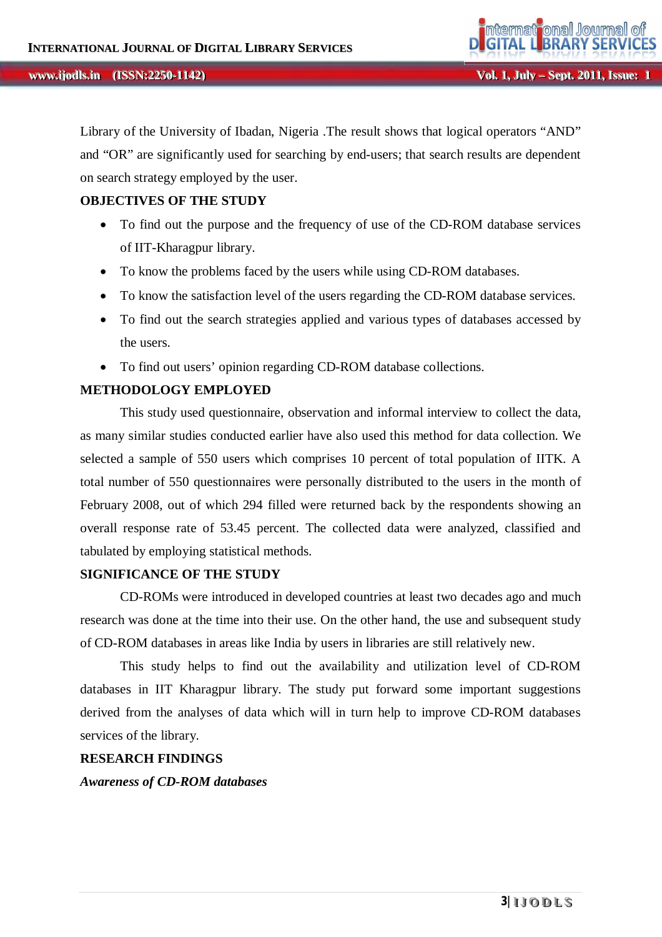Library of the University of Ibadan, Nigeria .The result shows that logical operators "AND" and "OR" are significantly used for searching by end-users; that search results are dependent on search strategy employed by the user.

### **OBJECTIVES OF THE STUDY**

- To find out the purpose and the frequency of use of the CD-ROM database services of IIT-Kharagpur library.
- To know the problems faced by the users while using CD-ROM databases.
- To know the satisfaction level of the users regarding the CD-ROM database services.
- To find out the search strategies applied and various types of databases accessed by the users.
- To find out users' opinion regarding CD-ROM database collections.

### **METHODOLOGY EMPLOYED**

This study used questionnaire, observation and informal interview to collect the data, as many similar studies conducted earlier have also used this method for data collection. We selected a sample of 550 users which comprises 10 percent of total population of IITK. A total number of 550 questionnaires were personally distributed to the users in the month of February 2008, out of which 294 filled were returned back by the respondents showing an overall response rate of 53.45 percent. The collected data were analyzed, classified and tabulated by employing statistical methods.

### **SIGNIFICANCE OF THE STUDY**

CD-ROMs were introduced in developed countries at least two decades ago and much research was done at the time into their use. On the other hand, the use and subsequent study of CD-ROM databases in areas like India by users in libraries are still relatively new.

This study helps to find out the availability and utilization level of CD-ROM databases in IIT Kharagpur library. The study put forward some important suggestions derived from the analyses of data which will in turn help to improve CD-ROM databases services of the library.

### **RESEARCH FINDINGS**

*Awareness of CD-ROM databases*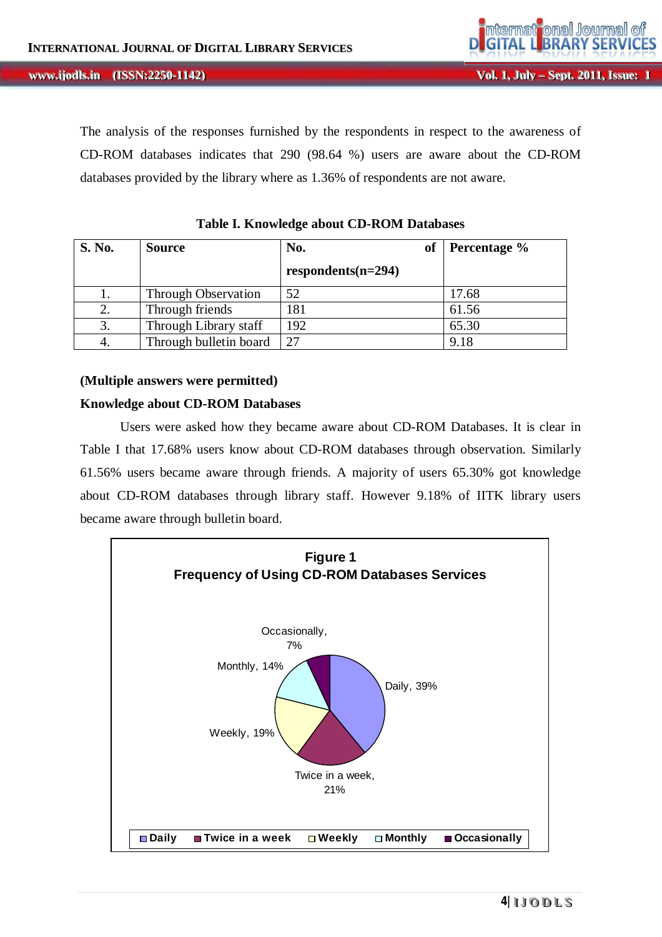#### **, IIIssuue Except Wol. 1, July – Sept. 2011, Issue:**<br> **IIIssue: IIIssue: IIIssue: IIIssue: IIIssue: IIIssue: IIIssue: IIIssue: IIIssue: IIIssue: IIIssue: IIIssue: IIIssue: IIIssue: IIIssue: ii jjooddllss...**

The analysis of the responses furnished by the respondents in respect to the awareness of CD-ROM databases indicates that 290 (98.64 %) users are aware about the CD-ROM databases provided by the library where as 1.36% of respondents are not aware.

| <b>S. No.</b> | <b>Source</b>              | No.<br><b>of</b>     | Percentage % |  |
|---------------|----------------------------|----------------------|--------------|--|
|               |                            | $respondents(n=294)$ |              |  |
|               | <b>Through Observation</b> | 52                   | 17.68        |  |
| 2.            | Through friends            | 181                  | 61.56        |  |
| 3.            | Through Library staff      | 192                  | 65.30        |  |
| 4.            | Through bulletin board     | 27                   | 9.18         |  |

**Table I. Knowledge about CD-ROM Databases**

#### **(Multiple answers were permitted)**

#### **Knowledge about CD-ROM Databases**

Users were asked how they became aware about CD-ROM Databases. It is clear in Table I that 17.68% users know about CD-ROM databases through observation. Similarly 61.56% users became aware through friends. A majority of users 65.30% got knowledge about CD-ROM databases through library staff. However 9.18% of IITK library users became aware through bulletin board.

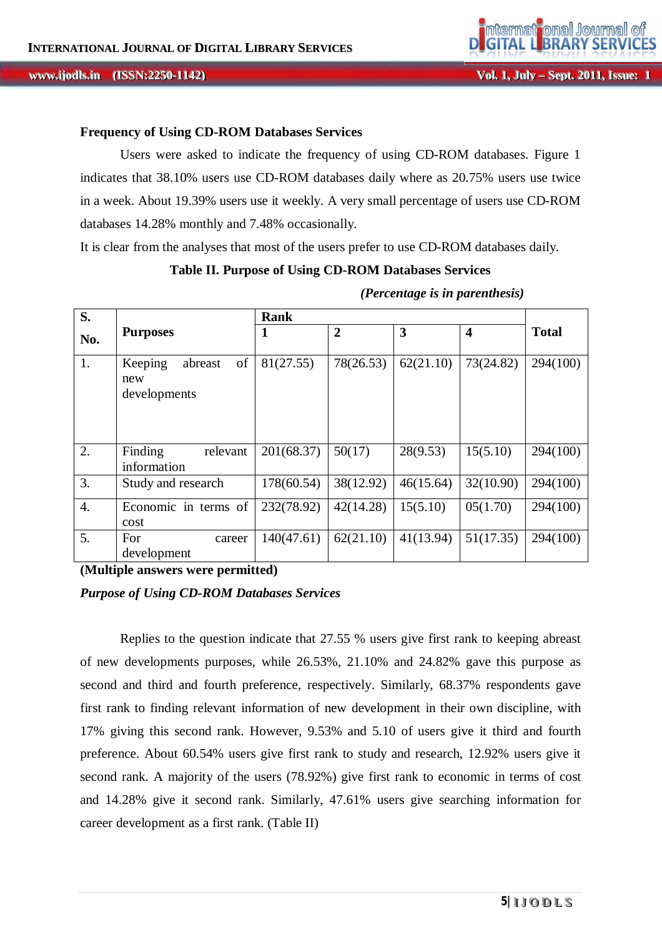### **Frequency of Using CD-ROM Databases Services**

Users were asked to indicate the frequency of using CD-ROM databases. Figure 1 indicates that 38.10% users use CD-ROM databases daily where as 20.75% users use twice in a week. About 19.39% users use it weekly. A very small percentage of users use CD-ROM databases 14.28% monthly and 7.48% occasionally.

It is clear from the analyses that most of the users prefer to use CD-ROM databases daily.

#### **Table II. Purpose of Using CD-ROM Databases Services**

| S.               |                                                 | <b>Rank</b> |                |           |                         |              |
|------------------|-------------------------------------------------|-------------|----------------|-----------|-------------------------|--------------|
| No.              | <b>Purposes</b>                                 | 1           | $\overline{2}$ | 3         | $\overline{\mathbf{4}}$ | <b>Total</b> |
| 1.               | of<br>Keeping<br>abreast<br>new<br>developments | 81(27.55)   | 78(26.53)      | 62(21.10) | 73(24.82)               | 294(100)     |
| 2.               | Finding<br>relevant<br>information              | 201(68.37)  | 50(17)         | 28(9.53)  | 15(5.10)                | 294(100)     |
| 3.               | Study and research                              | 178(60.54)  | 38(12.92)      | 46(15.64) | 32(10.90)               | 294(100)     |
| $\overline{4}$ . | Economic in terms of<br>cost                    | 232(78.92)  | 42(14.28)      | 15(5.10)  | 05(1.70)                | 294(100)     |
| 5.               | For<br>career<br>development                    | 140(47.61)  | 62(21.10)      | 41(13.94) | 51(17.35)               | 294(100)     |

*(Percentage is in parenthesis)*

**(Multiple answers were permitted)**

## *Purpose of Using CD-ROM Databases Services*

Replies to the question indicate that 27.55 % users give first rank to keeping abreast of new developments purposes, while 26.53%, 21.10% and 24.82% gave this purpose as second and third and fourth preference, respectively. Similarly, 68.37% respondents gave first rank to finding relevant information of new development in their own discipline, with 17% giving this second rank. However, 9.53% and 5.10 of users give it third and fourth preference. About 60.54% users give first rank to study and research, 12.92% users give it second rank. A majority of the users (78.92%) give first rank to economic in terms of cost and 14.28% give it second rank. Similarly, 47.61% users give searching information for career development as a first rank. (Table II)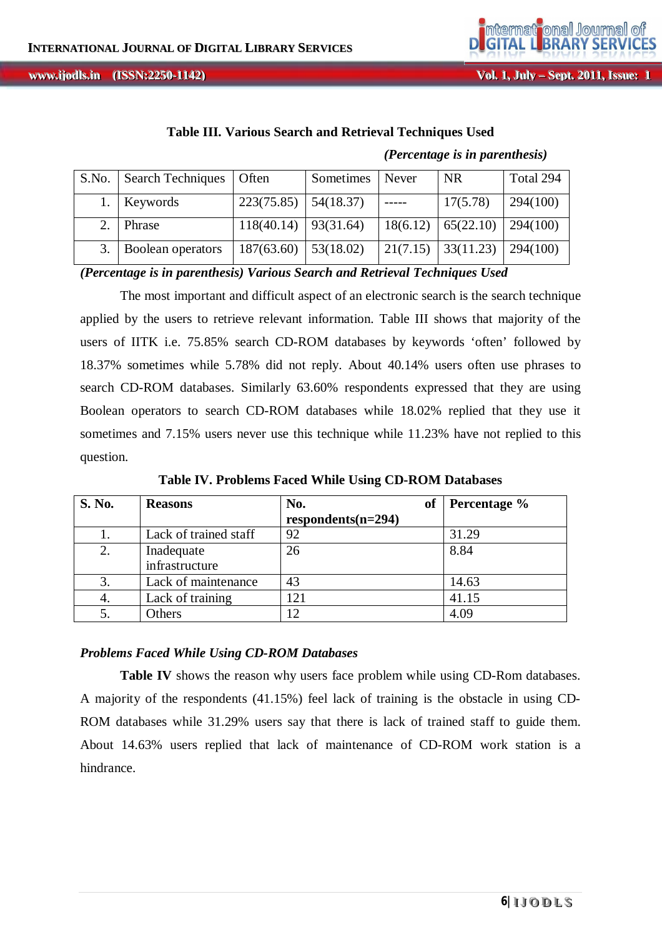**, IIIssuue Except Wol. 1, July – Sept. 2011, Issue:**<br> **IIIssue: IIIssue: IIIssue: IIIssue: IIIssue: IIIssue: IIIssue: IIIssue: IIIssue: IIIssue: IIIssue: IIIssue: IIIssue: IIIssue: IIIssue: ii jjooddllss...**



**Vol. 1, Jul** *ly* **– Sept. 2011, Issue: 1** 

|       |                          |            |           | (Percentage is in parenthesis) |           |           |
|-------|--------------------------|------------|-----------|--------------------------------|-----------|-----------|
| S.No. | <b>Search Techniques</b> | Often      | Sometimes | Never                          | NR.       | Total 294 |
|       | Keywords                 | 223(75.85) | 54(18.37) |                                | 17(5.78)  | 294(100)  |
|       | Phrase                   | 118(40.14) | 93(31.64) | 18(6.12)                       | 65(22.10) | 294(100)  |
|       | Boolean operators        | 187(63.60) | 53(18.02) | 21(7.15)                       | 33(11.23) | 294(100)  |

### **Table III. Various Search and Retrieval Techniques Used**

*(Percentage is in parenthesis) Various Search and Retrieval Techniques Used*

The most important and difficult aspect of an electronic search is the search technique applied by the users to retrieve relevant information. Table III shows that majority of the users of IITK i.e. 75.85% search CD-ROM databases by keywords 'often' followed by 18.37% sometimes while 5.78% did not reply. About 40.14% users often use phrases to search CD-ROM databases. Similarly 63.60% respondents expressed that they are using Boolean operators to search CD-ROM databases while 18.02% replied that they use it sometimes and 7.15% users never use this technique while 11.23% have not replied to this question.

| <b>S. No.</b> | <b>Reasons</b>               | No.<br>of            | Percentage % |
|---------------|------------------------------|----------------------|--------------|
|               |                              | $respondents(n=294)$ |              |
| 1.            | Lack of trained staff        | 92                   | 31.29        |
| 2.            | Inadequate<br>infrastructure | 26                   | 8.84         |
| 3.            | Lack of maintenance          | 43                   | 14.63        |
| 4.            | Lack of training             | 121                  | 41.15        |
|               | Others                       | 12                   | 4.09         |

**Table IV. Problems Faced While Using CD-ROM Databases**

#### *Problems Faced While Using CD-ROM Databases*

Table IV shows the reason why users face problem while using CD-Rom databases. A majority of the respondents (41.15%) feel lack of training is the obstacle in using CD-ROM databases while 31.29% users say that there is lack of trained staff to guide them. About 14.63% users replied that lack of maintenance of CD-ROM work station is a hindrance.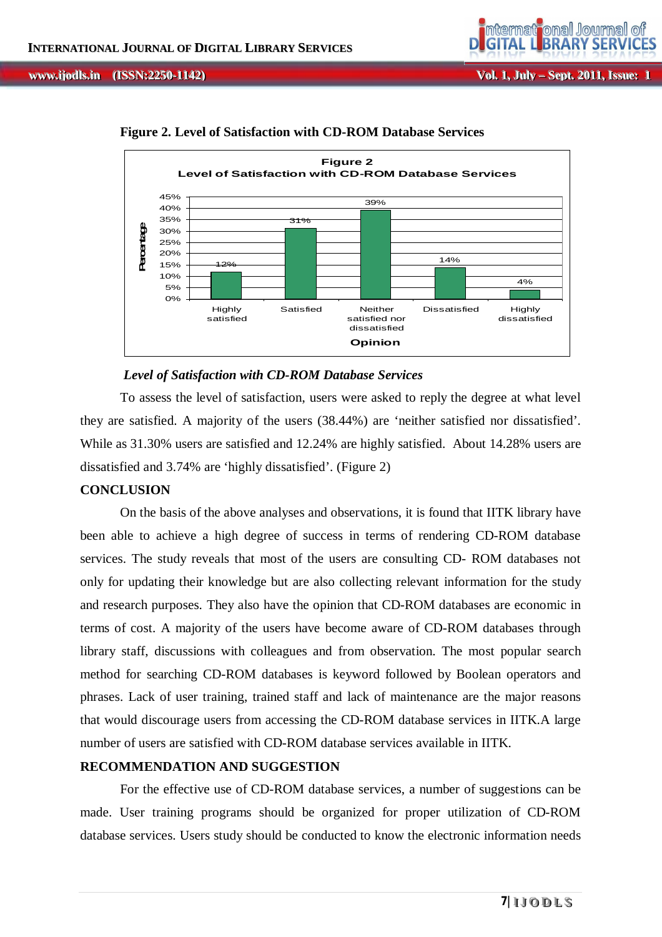

14%

Dissatisfied Highly

4%

dissatisfied

**Figure 2. Level of Satisfaction with CD-ROM Database Services**

31%

### *Level of Satisfaction with CD-ROM Database Services*

12%

Highly satisfied

 $0%$ 5% 10% 15% 20% 25% 30% 35% 40% 45%

**Percentage**

Percentage

To assess the level of satisfaction, users were asked to reply the degree at what level they are satisfied. A majority of the users (38.44%) are 'neither satisfied nor dissatisfied'. While as 31.30% users are satisfied and 12.24% are highly satisfied. About 14.28% users are dissatisfied and 3.74% are 'highly dissatisfied'. (Figure 2)

Satisfied Neither

satisfied nor dissatisfied

**Opinion**

### **CONCLUSION**

On the basis of the above analyses and observations, it is found that IITK library have been able to achieve a high degree of success in terms of rendering CD-ROM database services. The study reveals that most of the users are consulting CD- ROM databases not only for updating their knowledge but are also collecting relevant information for the study and research purposes. They also have the opinion that CD-ROM databases are economic in terms of cost. A majority of the users have become aware of CD-ROM databases through library staff, discussions with colleagues and from observation. The most popular search method for searching CD-ROM databases is keyword followed by Boolean operators and phrases. Lack of user training, trained staff and lack of maintenance are the major reasons that would discourage users from accessing the CD-ROM database services in IITK.A large number of users are satisfied with CD-ROM database services available in IITK.

## **RECOMMENDATION AND SUGGESTION**

For the effective use of CD-ROM database services, a number of suggestions can be made. User training programs should be organized for proper utilization of CD-ROM database services. Users study should be conducted to know the electronic information needs